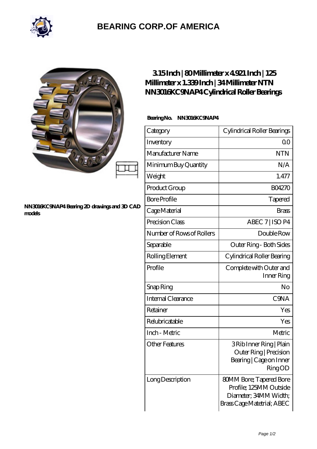

# **[BEARING CORP.OF AMERICA](https://m.bluemondayreview.com)**

#### **[NN3016KC9NAP4 Bearing 2D drawings and 3D CAD](https://m.bluemondayreview.com/pic-174961.html) [models](https://m.bluemondayreview.com/pic-174961.html)**

## **[3.15 Inch | 80 Millimeter x 4.921 Inch | 125](https://m.bluemondayreview.com/am-174961-ntn-nn3016kc9nap4-cylindrical-roller-bearings.html) [Millimeter x 1.339 Inch | 34 Millimeter NTN](https://m.bluemondayreview.com/am-174961-ntn-nn3016kc9nap4-cylindrical-roller-bearings.html) [NN3016KC9NAP4 Cylindrical Roller Bearings](https://m.bluemondayreview.com/am-174961-ntn-nn3016kc9nap4-cylindrical-roller-bearings.html)**

### **Bearing No. NN3016KC9NAP4**

| Category                  | Cylindrical Roller Bearings                                                                                     |
|---------------------------|-----------------------------------------------------------------------------------------------------------------|
| Inventory                 | 0 <sup>0</sup>                                                                                                  |
| Manufacturer Name         | <b>NTN</b>                                                                                                      |
| Minimum Buy Quantity      | N/A                                                                                                             |
| Weight                    | 1.477                                                                                                           |
| Product Group             | <b>BO4270</b>                                                                                                   |
| <b>Bore Profile</b>       | Tapered                                                                                                         |
| Cage Material             | Brass                                                                                                           |
| Precision Class           | ABEC 7   ISO P4                                                                                                 |
| Number of Rows of Rollers | Double Row                                                                                                      |
| Separable                 | Outer Ring - Both Sides                                                                                         |
| Rolling Element           | Cylindrical Roller Bearing                                                                                      |
| Profile                   | Complete with Outer and<br>Inner Ring                                                                           |
| Snap Ring                 | No                                                                                                              |
| Internal Clearance        | C <sub>9</sub> NA                                                                                               |
| Retainer                  | Yes                                                                                                             |
| Relubricatable            | Yes                                                                                                             |
| Inch - Metric             | Metric                                                                                                          |
| <b>Other Features</b>     | 3 Rib Inner Ring   Plain<br>Outer Ring   Precision<br>Bearing   Cage on Inner<br><b>RingOD</b>                  |
| Long Description          | <b>80MM Bore; Tapered Bore</b><br>Profile; 125MM Outside<br>Diameter, 34MM Width;<br>Brass Cage Matetrial; ABEC |